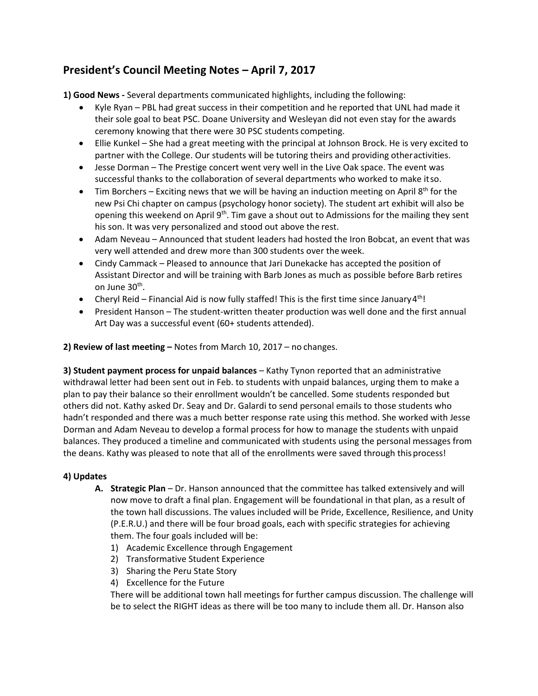## **President's Council Meeting Notes – April 7, 2017**

**1) Good News -** Several departments communicated highlights, including the following:

- · Kyle Ryan PBL had great success in their competition and he reported that UNL had made it their sole goal to beat PSC. Doane University and Wesleyan did not even stay for the awards ceremony knowing that there were 30 PSC students competing.
- · Ellie Kunkel She had a great meeting with the principal at Johnson Brock. He is very excited to partner with the College. Our students will be tutoring theirs and providing otheractivities.
- · Jesse Dorman The Prestige concert went very well in the Live Oak space. The event was successful thanks to the collaboration of several departments who worked to make itso.
- Tim Borchers Exciting news that we will be having an induction meeting on April  $8<sup>th</sup>$  for the new Psi Chi chapter on campus (psychology honor society). The student art exhibit will also be opening this weekend on April  $9<sup>th</sup>$ . Tim gave a shout out to Admissions for the mailing they sent his son. It was very personalized and stood out above the rest.
- · Adam Neveau Announced that student leaders had hosted the Iron Bobcat, an event that was very well attended and drew more than 300 students over the week.
- · Cindy Cammack Pleased to announce that Jari Dunekacke has accepted the position of Assistant Director and will be training with Barb Jones as much as possible before Barb retires on June 30<sup>th</sup>.
- Cheryl Reid Financial Aid is now fully staffed! This is the first time since January 4<sup>th</sup>!
- · President Hanson The student-written theater production was well done and the first annual Art Day was a successful event (60+ students attended).

**2) Review of last meeting –** Notes from March 10, 2017 – no changes.

**3) Student payment process for unpaid balances** – Kathy Tynon reported that an administrative withdrawal letter had been sent out in Feb. to students with unpaid balances, urging them to make a plan to pay their balance so their enrollment wouldn't be cancelled. Some students responded but others did not. Kathy asked Dr. Seay and Dr. Galardi to send personal emails to those students who hadn't responded and there was a much better response rate using this method. She worked with Jesse Dorman and Adam Neveau to develop a formal process for how to manage the students with unpaid balances. They produced a timeline and communicated with students using the personal messages from the deans. Kathy was pleased to note that all of the enrollments were saved through this process!

## **4) Updates**

- **A. Strategic Plan**  Dr. Hanson announced that the committee has talked extensively and will now move to draft a final plan. Engagement will be foundational in that plan, as a result of the town hall discussions. The values included will be Pride, Excellence, Resilience, and Unity (P.E.R.U.) and there will be four broad goals, each with specific strategies for achieving them. The four goals included will be:
	- 1) Academic Excellence through Engagement
	- 2) Transformative Student Experience
	- 3) Sharing the Peru State Story
	- 4) Excellence for the Future

There will be additional town hall meetings for further campus discussion. The challenge will be to select the RIGHT ideas as there will be too many to include them all. Dr. Hanson also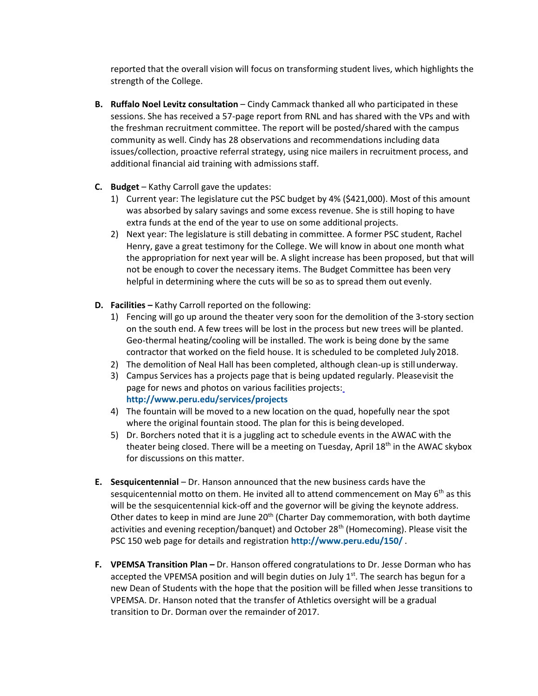reported that the overall vision will focus on transforming student lives, which highlights the strength of the College.

- **B.** Ruffalo Noel Levitz consultation Cindy Cammack thanked all who participated in these sessions. She has received a 57-page report from RNL and has shared with the VPs and with the freshman recruitment committee. The report will be posted/shared with the campus community as well. Cindy has 28 observations and recommendations including data issues/collection, proactive referral strategy, using nice mailers in recruitment process, and additional financial aid training with admissions staff.
- **C. Budget**  Kathy Carroll gave the updates:
	- 1) Current year: The legislature cut the PSC budget by 4% (\$421,000). Most of this amount was absorbed by salary savings and some excess revenue. She is still hoping to have extra funds at the end of the year to use on some additional projects.
	- 2) Next year: The legislature is still debating in committee. A former PSC student, Rachel Henry, gave a great testimony for the College. We will know in about one month what the appropriation for next year will be. A slight increase has been proposed, but that will not be enough to cover the necessary items. The Budget Committee has been very helpful in determining where the cuts will be so as to spread them out evenly.
- **D. Facilities –** Kathy Carroll reported on the following:
	- 1) Fencing will go up around the theater very soon for the demolition of the 3-story section on the south end. A few trees will be lost in the process but new trees will be planted. Geo-thermal heating/cooling will be installed. The work is being done by the same contractor that worked on the field house. It is scheduled to be completed July2018.
	- 2) The demolition of Neal Hall has been completed, although clean-up is stillunderway.
	- 3) Campus Services has a projects page that is being updated regularly. Pleasevisit the page for news and photos on various facilities projects: **<http://www.peru.edu/services/projects>**
	- 4) The fountain will be moved to a new location on the quad, hopefully near the spot where the original fountain stood. The plan for this is being developed.
	- 5) Dr. Borchers noted that it is a juggling act to schedule events in the AWAC with the theater being closed. There will be a meeting on Tuesday, April 18<sup>th</sup> in the AWAC skybox for discussions on this matter.
- **E. Sesquicentennial**  Dr. Hanson announced that the new business cards have the sesquicentennial motto on them. He invited all to attend commencement on May  $6<sup>th</sup>$  as this will be the sesquicentennial kick-off and the governor will be giving the keynote address. Other dates to keep in mind are June 20<sup>th</sup> (Charter Day commemoration, with both daytime activities and evening reception/banquet) and October 28<sup>th</sup> (Homecoming). Please visit the PSC 150 web page for details and registration **<http://www.peru.edu/150/>** .
- **F. VPEMSA Transition Plan –** Dr. Hanson offered congratulations to Dr. Jesse Dorman who has accepted the VPEMSA position and will begin duties on July  $1<sup>st</sup>$ . The search has begun for a new Dean of Students with the hope that the position will be filled when Jesse transitions to VPEMSA. Dr. Hanson noted that the transfer of Athletics oversight will be a gradual transition to Dr. Dorman over the remainder of 2017.